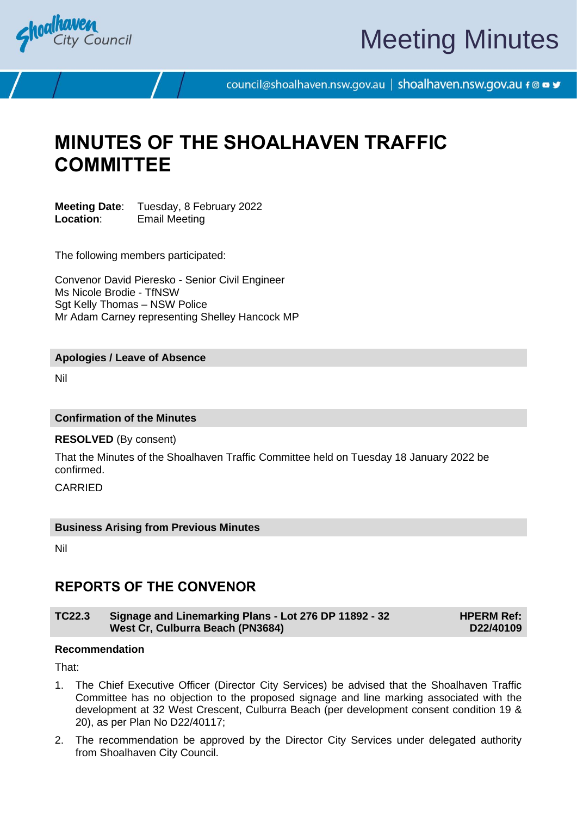

# Meeting Minutes

council@shoalhaven.nsw.gov.au | shoalhaven.nsw.gov.au f @ ■ y

# **MINUTES OF THE SHOALHAVEN TRAFFIC COMMITTEE**

**Meeting Date:** Tuesday, 8 February 2022<br>**Location:** Fmail Meeting **Email Meeting** 

The following members participated:

Convenor David Pieresko - Senior Civil Engineer Ms Nicole Brodie - TfNSW Sgt Kelly Thomas - NSW Police Mr Adam Carney representing Shelley Hancock MP

# **Apologies / Leave of Absence**

Nil

# **Confirmation of the Minutes**

**RESOLVED** (By consent)

That the Minutes of the Shoalhaven Traffic Committee held on Tuesday 18 January 2022 be confirmed.

**CARRIED** 

## **Business Arising from Previous Minutes**

Nil

# **REPORTS OF THE CONVENOR**

### **TC22.3 Signage and Linemarking Plans - Lot 276 DP 11892 - 32 West Cr, Culburra Beach (PN3684)**

**HPERM Ref: D22/40109**

### **Recommendation**

That:

- 1. The Chief Executive Officer (Director City Services) be advised that the Shoalhaven Traffic Committee has no objection to the proposed signage and line marking associated with the development at 32 West Crescent, Culburra Beach (per development consent condition 19 & 20), as per Plan No D22/40117;
- 2. The recommendation be approved by the Director City Services under delegated authority from Shoalhaven City Council.